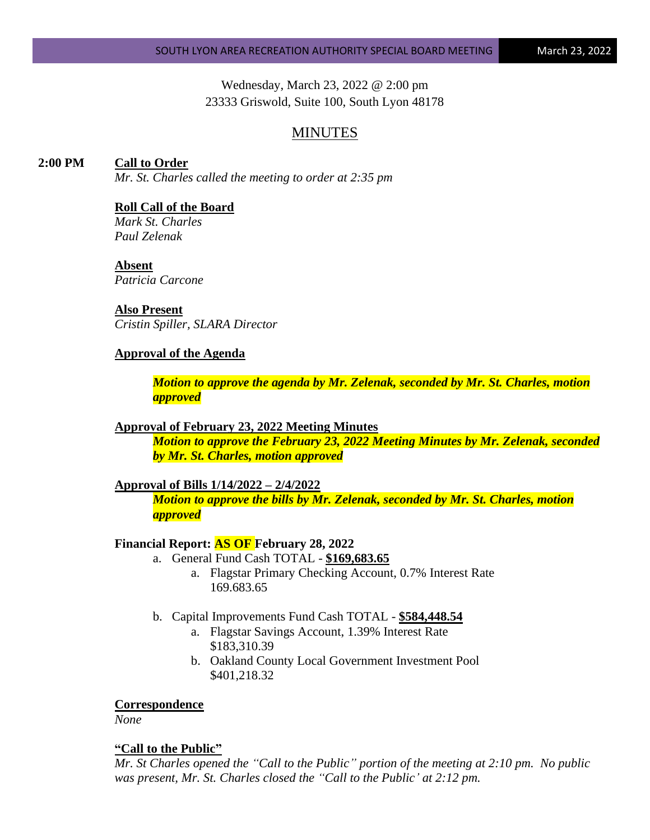Wednesday, March 23, 2022 @ 2:00 pm 23333 Griswold, Suite 100, South Lyon 48178

# MINUTES

# **2:00 PM Call to Order**

*Mr. St. Charles called the meeting to order at 2:35 pm*

### **Roll Call of the Board**

*Mark St. Charles Paul Zelenak*

#### **Absent**

*Patricia Carcone*

# **Also Present**

*Cristin Spiller, SLARA Director*

### **Approval of the Agenda**

*Motion to approve the agenda by Mr. Zelenak, seconded by Mr. St. Charles, motion approved*

### **Approval of February 23, 2022 Meeting Minutes**

*Motion to approve the February 23, 2022 Meeting Minutes by Mr. Zelenak, seconded by Mr. St. Charles, motion approved*

### **Approval of Bills 1/14/2022 – 2/4/2022**

*Motion to approve the bills by Mr. Zelenak, seconded by Mr. St. Charles, motion approved*

### **Financial Report: AS OF February 28, 2022**

- a. General Fund Cash TOTAL **\$169,683.65**
	- a. Flagstar Primary Checking Account, 0.7% Interest Rate 169.683.65
- b. Capital Improvements Fund Cash TOTAL **\$584,448.54**
	- a. Flagstar Savings Account, 1.39% Interest Rate \$183,310.39
	- b. Oakland County Local Government Investment Pool \$401,218.32

### **Correspondence**

*None*

#### **"Call to the Public"**

*Mr. St Charles opened the "Call to the Public" portion of the meeting at 2:10 pm. No public was present, Mr. St. Charles closed the "Call to the Public' at 2:12 pm.*